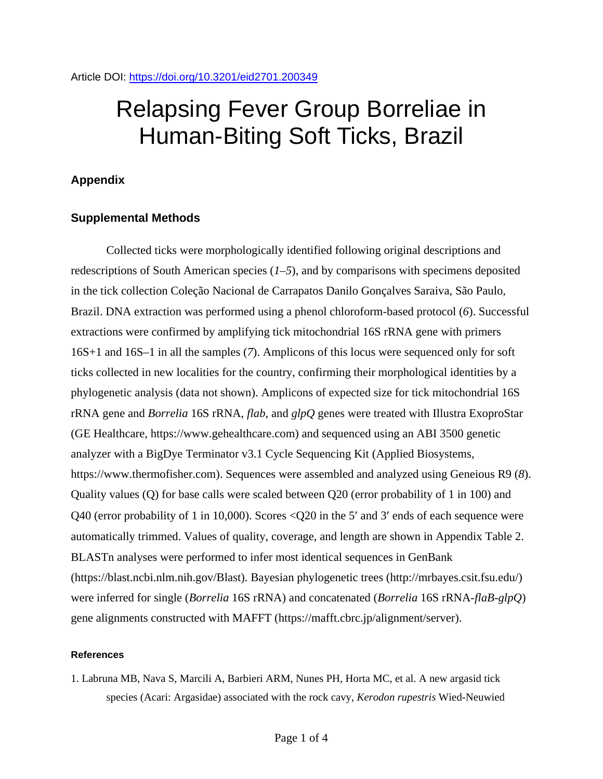# Relapsing Fever Group Borreliae in Human-Biting Soft Ticks, Brazil

## **Appendix**

### **Supplemental Methods**

Collected ticks were morphologically identified following original descriptions and redescriptions of South American species (*1–5*), and by comparisons with specimens deposited in the tick collection Coleção Nacional de Carrapatos Danilo Gonçalves Saraiva, São Paulo, Brazil. DNA extraction was performed using a phenol chloroform-based protocol (*6*). Successful extractions were confirmed by amplifying tick mitochondrial 16S rRNA gene with primers 16S+1 and 16S–1 in all the samples (*7*). Amplicons of this locus were sequenced only for soft ticks collected in new localities for the country, confirming their morphological identities by a phylogenetic analysis (data not shown). Amplicons of expected size for tick mitochondrial 16S rRNA gene and *Borrelia* 16S rRNA, *flab*, and *glpQ* genes were treated with Illustra ExoproStar (GE Healthcare, https://www.gehealthcare.com) and sequenced using an ABI 3500 genetic analyzer with a BigDye Terminator v3.1 Cycle Sequencing Kit (Applied Biosystems, https://www.thermofisher.com). Sequences were assembled and analyzed using Geneious R9 (*8*). Quality values (Q) for base calls were scaled between Q20 (error probability of 1 in 100) and Q40 (error probability of 1 in 10,000). Scores <Q20 in the 5′ and 3′ ends of each sequence were automatically trimmed. Values of quality, coverage, and length are shown in Appendix Table 2. BLASTn analyses were performed to infer most identical sequences in GenBank (https://blast.ncbi.nlm.nih.gov/Blast). Bayesian phylogenetic trees (http://mrbayes.csit.fsu.edu/) were inferred for single (*Borrelia* 16S rRNA) and concatenated (*Borrelia* 16S rRNA-*flaB*-*glpQ*) gene alignments constructed with MAFFT (https://mafft.cbrc.jp/alignment/server).

#### **References**

1. Labruna MB, Nava S, Marcili A, Barbieri ARM, Nunes PH, Horta MC, et al. A new argasid tick species (Acari: Argasidae) associated with the rock cavy, *Kerodon rupestris* Wied-Neuwied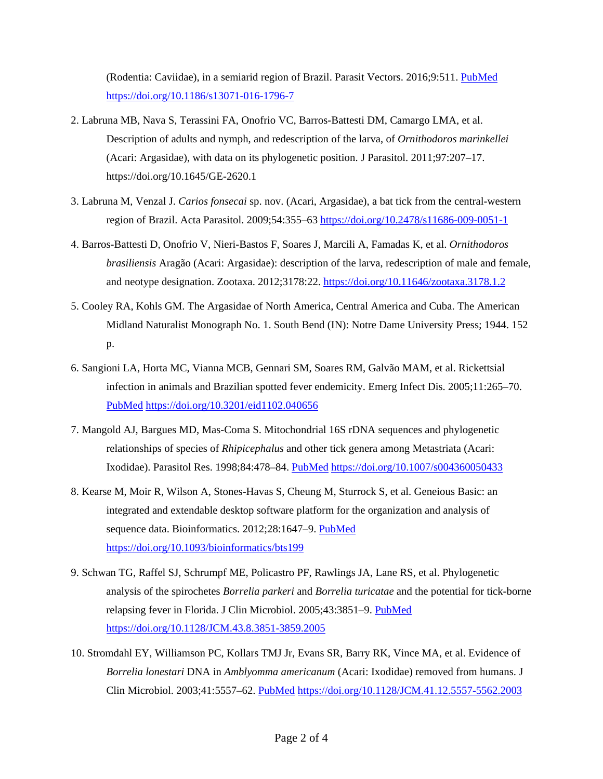(Rodentia: Caviidae), in a semiarid region of Brazil. Parasit Vectors. 2016;9:511. [PubMed](https://www.ncbi.nlm.nih.gov/entrez/query.fcgi?cmd=Retrieve&db=PubMed&list_uids=27655282&dopt=Abstract) <https://doi.org/10.1186/s13071-016-1796-7>

- 2. Labruna MB, Nava S, Terassini FA, Onofrio VC, Barros-Battesti DM, Camargo LMA, et al. Description of adults and nymph, and redescription of the larva, of *Ornithodoros marinkellei* (Acari: Argasidae), with data on its phylogenetic position. J Parasitol. 2011;97:207–17. <https://doi.org/10.1645/GE-2620.1>
- 3. Labruna M, Venzal J. *Carios fonsecai* sp. nov. (Acari, Argasidae), a bat tick from the central-western region of Brazil. Acta Parasitol. 2009;54:355–63 <https://doi.org/10.2478/s11686-009-0051-1>
- 4. Barros-Battesti D, Onofrio V, Nieri-Bastos F, Soares J, Marcili A, Famadas K, et al. *Ornithodoros brasiliensis* Aragão (Acari: Argasidae): description of the larva, redescription of male and female, and neotype designation. Zootaxa. 2012;3178:22.<https://doi.org/10.11646/zootaxa.3178.1.2>
- 5. Cooley RA, Kohls GM. The Argasidae of North America, Central America and Cuba. The American Midland Naturalist Monograph No. 1. South Bend (IN): Notre Dame University Press; 1944. 152 p.
- 6. Sangioni LA, Horta MC, Vianna MCB, Gennari SM, Soares RM, Galvão MAM, et al. Rickettsial infection in animals and Brazilian spotted fever endemicity. Emerg Infect Dis. 2005;11:265–70[.](https://www.ncbi.nlm.nih.gov/entrez/query.fcgi?cmd=Retrieve&db=PubMed&list_uids=15752445&dopt=Abstract) [PubMed](https://www.ncbi.nlm.nih.gov/entrez/query.fcgi?cmd=Retrieve&db=PubMed&list_uids=15752445&dopt=Abstract) <https://doi.org/10.3201/eid1102.040656>
- 7. Mangold AJ, Bargues MD, Mas-Coma S. Mitochondrial 16S rDNA sequences and phylogenetic relationships of species of *Rhipicephalus* and other tick genera among Metastriata (Acari: Ixodidae). Parasitol Res. 1998;84:478–84. [PubMed](https://www.ncbi.nlm.nih.gov/entrez/query.fcgi?cmd=Retrieve&db=PubMed&list_uids=9660138&dopt=Abstract) <https://doi.org/10.1007/s004360050433>
- 8. Kearse M, Moir R, Wilson A, Stones-Havas S, Cheung M, Sturrock S, et al. Geneious Basic: an integrated and extendable desktop software platform for the organization and analysis of sequence data. Bioinformatics. 2012;28:1647-9. [PubMed](https://www.ncbi.nlm.nih.gov/entrez/query.fcgi?cmd=Retrieve&db=PubMed&list_uids=22543367&dopt=Abstract) <https://doi.org/10.1093/bioinformatics/bts199>
- 9. Schwan TG, Raffel SJ, Schrumpf ME, Policastro PF, Rawlings JA, Lane RS, et al. Phylogenetic analysis of the spirochetes *Borrelia parkeri* and *Borrelia turicatae* and the potential for tick-borne relapsing fever in Florida. J Clin Microbiol. 2005;43:3851–9. [PubMed](https://www.ncbi.nlm.nih.gov/entrez/query.fcgi?cmd=Retrieve&db=PubMed&list_uids=16081922&dopt=Abstract) <https://doi.org/10.1128/JCM.43.8.3851-3859.2005>
- 10. Stromdahl EY, Williamson PC, Kollars TMJ Jr, Evans SR, Barry RK, Vince MA, et al. Evidence of *Borrelia lonestari* DNA in *Amblyomma americanum* (Acari: Ixodidae) removed from humans. J Clin Microbiol. 2003;41:5557–62. [PubMed](https://www.ncbi.nlm.nih.gov/entrez/query.fcgi?cmd=Retrieve&db=PubMed&list_uids=14662940&dopt=Abstract) <https://doi.org/10.1128/JCM.41.12.5557-5562.2003>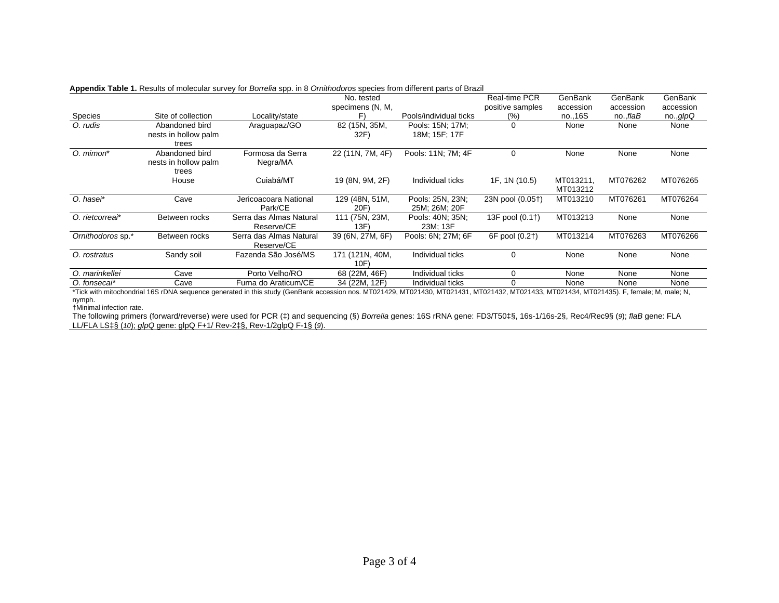|                   |                                                 | reportant Table in Robard of molocalar carvey for Borrolla opp. In 6 Criminodored opportunity among hand or Brazi | No. tested<br>specimens (N, M, |                                   | Real-time PCR<br>positive samples | GenBank<br>accession  | GenBank<br>accession | GenBank<br>accession |
|-------------------|-------------------------------------------------|-------------------------------------------------------------------------------------------------------------------|--------------------------------|-----------------------------------|-----------------------------------|-----------------------|----------------------|----------------------|
| Species           | Site of collection                              | Locality/state                                                                                                    | F١                             | Pools/individual ticks            | (%)                               | no., 16S              | no.,flaB             | no. g/pQ             |
| O. rudis          | Abandoned bird<br>nests in hollow palm<br>trees | Araguapaz/GO                                                                                                      | 82 (15N, 35M,<br>32F)          | Pools: 15N; 17M;<br>18M; 15F; 17F | 0                                 | None                  | None                 | None                 |
| O. mimon*         | Abandoned bird<br>nests in hollow palm<br>trees | Formosa da Serra<br>Negra/MA                                                                                      | 22 (11N, 7M, 4F)               | Pools: 11N; 7M; 4F                | 0                                 | None                  | None                 | None                 |
|                   | House                                           | Cuiabá/MT                                                                                                         | 19 (8N, 9M, 2F)                | Individual ticks                  | 1F, 1N (10.5)                     | MT013211,<br>MT013212 | MT076262             | MT076265             |
| O. haser*         | Cave                                            | Jericoacoara National<br>Park/CE                                                                                  | 129 (48N, 51M,<br>20F)         | Pools: 25N, 23N;<br>25M; 26M; 20F | 23N pool (0.05†)                  | MT013210              | MT076261             | MT076264             |
| O. rietcorrear*   | Between rocks                                   | Serra das Almas Natural<br>Reserve/CE                                                                             | 111 (75N, 23M,<br>13F          | Pools: 40N; 35N;<br>23M; 13F      | 13F pool (0.1†)                   | MT013213              | None                 | None                 |
| Ornithodoros sp.* | Between rocks                                   | Serra das Almas Natural<br>Reserve/CE                                                                             | 39 (6N, 27M, 6F)               | Pools: 6N; 27M; 6F                | 6F pool (0.2†)                    | MT013214              | MT076263             | MT076266             |
| O. rostratus      | Sandy soil                                      | Fazenda São José/MS                                                                                               | 171 (121N, 40M,<br>10F)        | Individual ticks                  | 0                                 | None                  | None                 | None                 |
| O. marinkellei    | Cave                                            | Porto Velho/RO                                                                                                    | 68 (22M, 46F)                  | Individual ticks                  | ი                                 | None                  | None                 | None                 |
| O. fonsecai*      | Cave                                            | Furna do Araticum/CE                                                                                              | 34 (22M, 12F)                  | Individual ticks                  |                                   | None                  | None                 | None                 |

#### **Appendix Table 1.** Results of molecular survey for *Borrelia* spp. in 8 *Ornithodoro*s species from different parts of Brazil

\*Tick with mitochondrial 16S rDNA sequence generated in this study (GenBank accession nos. MT021429, MT021430, MT021431, MT021432, MT021433, MT021434, MT021435). F, female; M, male; N, nymph.

†Minimal infection rate.

The following primers (forward/reverse) were used for PCR (‡) and sequencing (§) *Borrelia* genes: 16S rRNA gene: FD3/T50‡§, 16s-1/16s-2§, Rec4/Rec9§ (*9*); *flaB* gene: FLA LL/FLA LS‡§ (*10*); *glpQ* gene: glpQ F+1/ Rev-2‡§, Rev-1/2glpQ F-1§ (*9*).